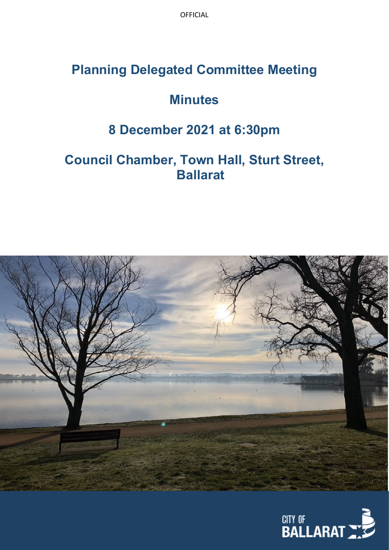OFFICIAL

# **Planning Delegated Committee Meeting**

# **Minutes**

### **8 December 2021 at 6:30pm**

# **Council Chamber, Town Hall, Sturt Street, Ballarat**



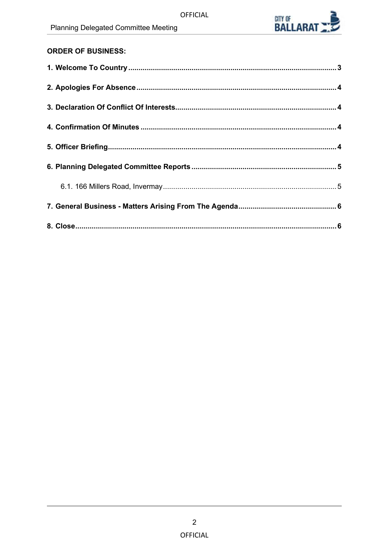

### **ORDER OF BUSINESS:**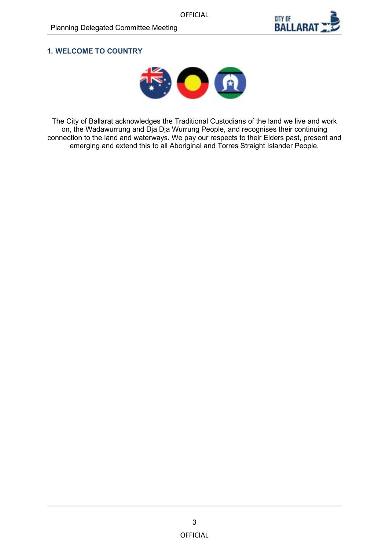

#### <span id="page-2-0"></span>**1. WELCOME TO COUNTRY**



The City of Ballarat acknowledges the Traditional Custodians of the land we live and work on, the Wadawurrung and Dja Dja Wurrung People, and recognises their continuing connection to the land and waterways. We pay our respects to their Elders past, present and emerging and extend this to all Aboriginal and Torres Straight Islander People.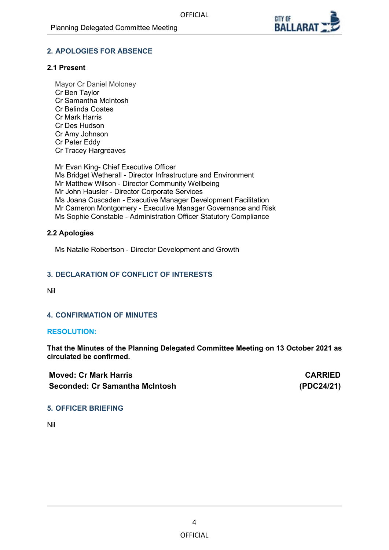

#### <span id="page-3-0"></span>**2. APOLOGIES FOR ABSENCE**

#### **2.1 Present**

Mayor Cr Daniel Moloney Cr Ben Taylor Cr Samantha McIntosh Cr Belinda Coates Cr Mark Harris Cr Des Hudson Cr Amy Johnson Cr Peter Eddy Cr Tracey Hargreaves

Mr Evan King- Chief Executive Officer Ms Bridget Wetherall - Director Infrastructure and Environment Mr Matthew Wilson - Director Community Wellbeing Mr John Hausler - Director Corporate Services Ms Joana Cuscaden - Executive Manager Development Facilitation Mr Cameron Montgomery - Executive Manager Governance and Risk Ms Sophie Constable - Administration Officer Statutory Compliance

#### **2.2 Apologies**

Ms Natalie Robertson - Director Development and Growth

#### **3. DECLARATION OF CONFLICT OF INTERESTS**

Nil

#### **4. CONFIRMATION OF MINUTES**

#### **RESOLUTION:**

**That the Minutes of the Planning Delegated Committee Meeting on 13 October 2021 as circulated be confirmed.**

| <b>Moved: Cr Mark Harris</b>   | <b>CARRIED</b> |
|--------------------------------|----------------|
| Seconded: Cr Samantha McIntosh | (PDC24/21)     |

#### **5. OFFICER BRIEFING**

Nil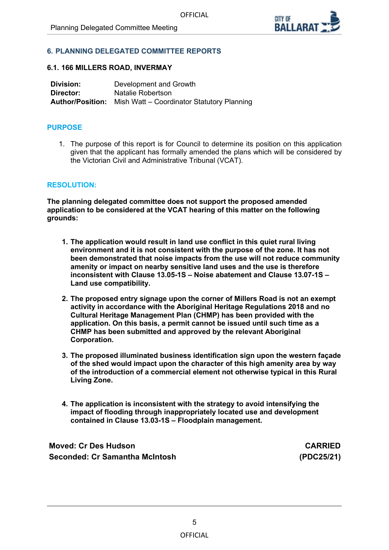

#### <span id="page-4-0"></span>**6. PLANNING DELEGATED COMMITTEE REPORTS**

#### **6.1. 166 MILLERS ROAD, INVERMAY**

| Division: | Development and Growth                                             |
|-----------|--------------------------------------------------------------------|
| Director: | Natalie Robertson                                                  |
|           | <b>Author/Position:</b> Mish Watt – Coordinator Statutory Planning |

#### **PURPOSE**

1. The purpose of this report is for Council to determine its position on this application given that the applicant has formally amended the plans which will be considered by the Victorian Civil and Administrative Tribunal (VCAT).

#### **RESOLUTION:**

**The planning delegated committee does not support the proposed amended application to be considered at the VCAT hearing of this matter on the following grounds:**

- **1. The application would result in land use conflict in this quiet rural living environment and it is not consistent with the purpose of the zone. It has not been demonstrated that noise impacts from the use will not reduce community amenity or impact on nearby sensitive land uses and the use is therefore inconsistent with Clause 13.05-1S – Noise abatement and Clause 13.07-1S – Land use compatibility.**
- **2. The proposed entry signage upon the corner of Millers Road is not an exempt activity in accordance with the Aboriginal Heritage Regulations 2018 and no Cultural Heritage Management Plan (CHMP) has been provided with the application. On this basis, a permit cannot be issued until such time as a CHMP has been submitted and approved by the relevant Aboriginal Corporation.**
- **3. The proposed illuminated business identification sign upon the western façade of the shed would impact upon the character of this high amenity area by way of the introduction of a commercial element not otherwise typical in this Rural Living Zone.**
- **4. The application is inconsistent with the strategy to avoid intensifying the impact of flooding through inappropriately located use and development contained in Clause 13.03-1S – Floodplain management.**

**Moved: Cr Des Hudson CARRIED Seconded: Cr Samantha McIntosh (PDC25/21)**